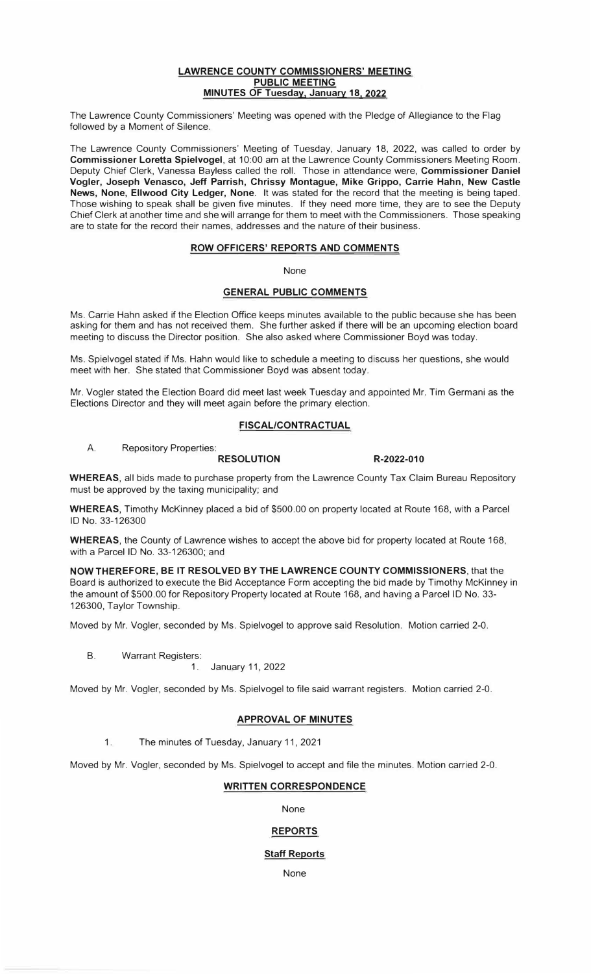#### **LAWRENCE COUNTY COMMISSIONERS' MEETING PUBLIC MEETING MINUTES OF Tuesday, January 18, 2022**

The Lawrence County Commissioners' Meeting was opened with the Pledge of Allegiance to the Flag followed by a Moment of Silence.

The Lawrence County Commissioners' Meeting of Tuesday, January 18, 2022, was called to order by **Commissioner Loretta Spielvogel,** at 10:00 am at the Lawrence County Commissioners Meeting Room. Deputy Chief Clerk, Vanessa Bayless called the roll. Those in attendance were, **Commissioner Daniel Vogler, Joseph Venasco, Jeff Parrish, Chrissy Montague, Mike Grippo, Carrie Hahn, New Castle News, None, Ellwood City Ledger, None.** It was stated for the record that the meeting is being taped. Those wishing to speak shall be given five minutes. If they need more time, they are to see the Deputy Chief Clerk at another time and she will arrange for them to meet with the Commissioners. Those speaking are to state for the record their names, addresses and the nature of their business.

### **ROW OFFICERS' REPORTS AND COMMENTS**

None

### **GENERAL PUBLIC COMMENTS**

Ms. Carrie Hahn asked if the Election Office keeps minutes available to the public because she has been asking for them and has not received them. She further asked if there will be an upcoming election board meeting to discuss the Director position. She also asked where Commissioner Boyd was today.

Ms. Spielvogel stated if Ms. Hahn would like to schedule a meeting to discuss her questions, she would meet with her. She stated that Commissioner Boyd was absent today.

Mr. Vogler stated the Election Board did meet last week Tuesday and appointed Mr. Tim Germani as the Elections Director and they will meet again before the primary election.

### **FISCAL/CONTRACTUAL**

A. Repository Properties:

#### **RESOLUTION R-2022-010**

**WHEREAS,** all bids made to purchase property from the Lawrence County Tax Claim Bureau Repository must be approved by the taxing municipality; and

**WHEREAS,** Timothy McKinney placed a bid of \$500.00 on property located at Route 168, with a Parcel ID No. 33-126300

**WHEREAS,** the County of Lawrence wishes to accept the above bid for property located at Route 168, with a Parcel ID No. 33-126300; and

**NOW THEREFORE, BE IT RESOLVED BY THE LAWRENCE COUNTY COMMISSIONERS,** that the Board is authorized to execute the Bid Acceptance Form accepting the bid made by Timothy McKinney in the amount of \$500.00 for Repository Property located at Route 168, and having a Parcel ID No. 33- 126300, Taylor Township.

Moved by Mr. Vogler, seconded by Ms. Spielvogel to approve said Resolution. Motion carried 2-0.

B. Warrant Registers:

1. January 11, 2022

Moved by Mr. Vogler, seconded by Ms. Spielvogel to file said warrant registers. Motion carried 2-0.

### **APPROVAL OF MINUTES**

1.The minutes of Tuesday, January 11, 2021

Moved by Mr. Vogler, seconded by Ms. Spielvogel to accept and file the minutes. Motion carried 2-0.

### **WRITTEN CORRESPONDENCE**

None

### **REPORTS**

### **Staff Reports**

None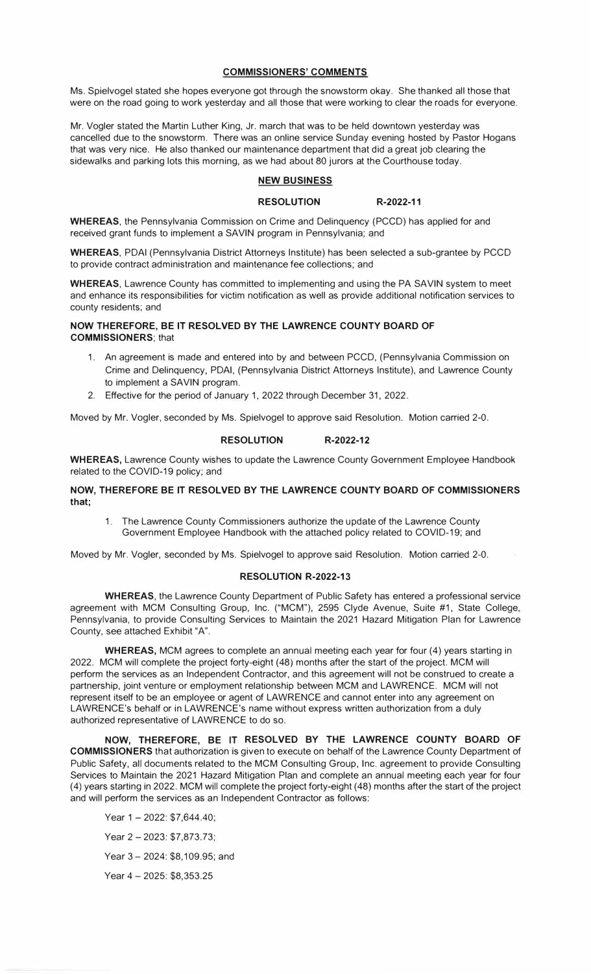#### **COMMISSIONERS' COMMENTS**

Ms. Spielvogel stated she hopes everyone got through the snowstorm okay. She thanked all those that were on the road going to work yesterday and all those that were working to clear the roads for everyone.

Mr. Vogler stated the Martin Luther King, Jr. march that was to be held downtown yesterday was cancelled due to the snowstorm. There was an online service Sunday evening hosted by Pastor Hogans that was very nice. He also thanked our maintenance department that did a great job clearing the sidewalks and parking lots this morning, as we had about 80 jurors at the Courthouse today.

#### **NEW BUSINESS**

#### **RESOLUTION R-2022-11**

**WHEREAS,** the Pennsylvania Commission on Crime and Delinquency (PCCD) has applied for and received grant funds to implement a SAVIN program in Pennsylvania; and

**WHEREAS,** PDAI (Pennsylvania District Attorneys Institute) has been selected a sub-grantee by PCCD to provide contract administration and maintenance fee collections; and

**WHEREAS,** Lawrence County has committed to implementing and using the PA SAVIN system to meet and enhance its responsibilities for victim notification as well as provide additional notification services to county residents; and

**NOW THEREFORE, BE IT RESOLVED BY THE LAWRENCE COUNTY BOARD OF COMMISSIONERS;** that

- 1. An agreement is made and entered into by and between PCCD, (Pennsylvania Commission on Crime and Delinquency, PDAI, (Pennsylvania District Attorneys Institute), and Lawrence County to implement a SAVIN program.
- 2. Effective for the period of January 1, 2022 through December 31, 2022.

Moved by Mr. Vogler, seconded by Ms. Spielvogel to approve said Resolution. Motion carried 2-0.

### **RESOLUTION R-2022-12**

**WHEREAS,** Lawrence County wishes to update the Lawrence County Government Employee Handbook related to the COVID-19 policy; and

### **NOW, THEREFORE BE IT RESOLVED BY THE LAWRENCE COUNTY BOARD OF COMMISSIONERS that;**

1. The Lawrence County Commissioners authorize the update of the Lawrence County Government Employee Handbook with the attached policy related to COVID-19; and

Moved by Mr. Vogler, seconded by Ms. Spielvogel to approve said Resolution. Motion carried 2-0.

### **RESOLUTION R-2022-13**

**WHEREAS,** the Lawrence County Department of Public Safety has entered a professional service agreement with MCM Consulting Group, Inc. ("MCM"), 2595 Clyde Avenue, Suite #1, State College, Pennsylvania, to provide Consulting Services to Maintain the 2021 Hazard Mitigation Plan for Lawrence County, see attached Exhibit "A".

**WHEREAS,** MCM agrees to complete an annual meeting each year for four (4) years starting in 2022. MCM will complete the project forty-eight (48) months after the start of the project. MCM will perform the services as an Independent Contractor, and this agreement will not be construed to create a partnership, joint venture or employment relationship between MCM and LAWRENCE. MCM will not represent itself to be an employee or agent of LAWRENCE and cannot enter into any agreement on LAWRENCE's behalf or in LAWRENCE's name without express written authorization from a duly authorized representative of LAWRENCE to do so.

**NOW, THEREFORE, BE IT RESOLVED BY THE LAWRENCE COUNTY BOARD OF COMMISSIONERS** that authorization is given to execute on behalf of the Lawrence County Department of Public Safety, all documents related to the MCM Consulting Group, Inc. agreement to provide Consulting Services to Maintain the 2021 Hazard Mitigation Plan and complete an annual meeting each year for four ( 4) years starting in 2022. MCM will complete the project forty-eight ( 48) months after the start of the project and will perform the services as an Independent Contractor as follows:

Year 1-2022: \$7,644.40;

Year 2 - 2023: \$7,873.73;

Year 3- 2024: \$8,109.95; and

Year 4 - 2025: \$8,353.25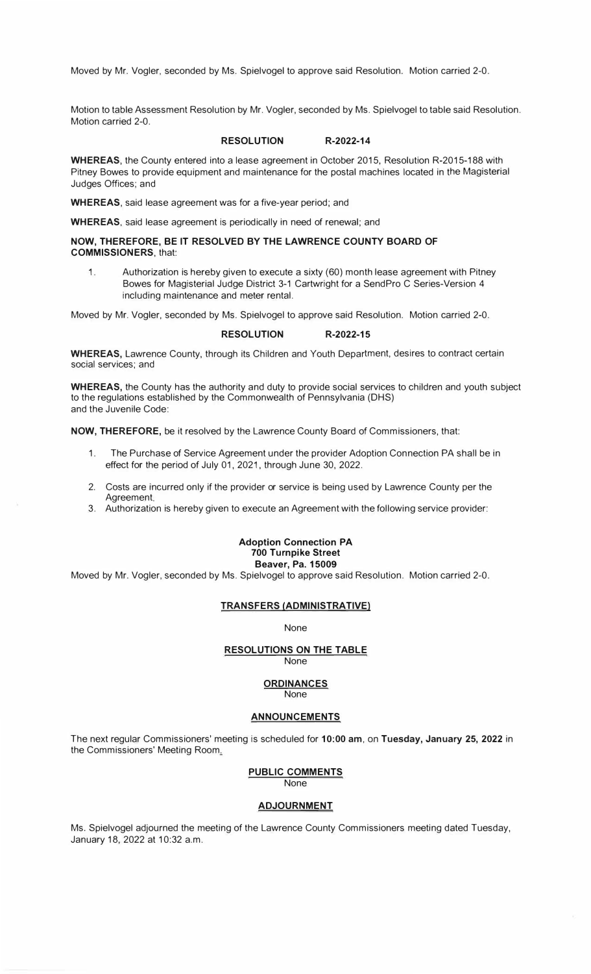Moved by Mr. Vogler, seconded by Ms. Spielvogel to approve said Resolution. Motion carried 2-0.

Motion to table Assessment Resolution by Mr. Vogler, seconded by Ms. Spielvogel to table said Resolution. Motion carried 2-0.

#### **RESOLUTION R-2022-14**

**WHEREAS,** the County entered into a lease agreement in October 2015, Resolution R-2015-188 with Pitney Bowes to provide equipment and maintenance for the postal machines located in the Magisterial Judges Offices; and

**WHEREAS,** said lease agreement was for a five-year period; and

**WHEREAS,** said lease agreement is periodically in need of renewal; and

**NOW, THEREFORE, BE IT RESOLVED BY THE LAWRENCE COUNTY BOARD OF COMMISSIONERS,** that:

1. Authorization is hereby given to execute a sixty {60) month lease agreement with Pitney Bowes for Magisterial Judge District 3-1 Cartwright for a SendPro C Series-Version 4 including maintenance and meter rental.

Moved by Mr. Vogler, seconded by Ms. Spielvogel to approve said Resolution. Motion carried 2-0.

#### **RESOLUTION R-2022-15**

**WHEREAS,** Lawrence County, through its Children and Youth Department, desires to contract certain social services; and

**WHEREAS,** the County has the authority and duty to provide social services to children and youth subject to the regulations established by the Commonwealth of Pennsylvania (OHS) and the Juvenile Code:

**NOW, THEREFORE,** be it resolved by the Lawrence County Board of Commissioners, that:

- 1. The Purchase of Service Agreement under the provider Adoption Connection PA shall be in effect for the period of July 01, 2021, through June 30, 2022.
- 2. Costs are incurred only if the provider or service is being used by Lawrence County per the Agreement.
- 3. Authorization is hereby given to execute an Agreement with the following service provider:

#### **Adoption Connection PA 700 Turnpike Street Beaver, Pa. 15009**

Moved by Mr. Vogler, seconded by Ms. Spielvogel to approve said Resolution. Motion carried 2-0.

#### **TRANSFERS (ADMINISTRATIVE)**

None

#### **RESOLUTIONS ON THE TABLE**

None

### **ORDINANCES**

None

#### **ANNOUNCEMENTS**

The next regular Commissioners' meeting is scheduled for **10:00 am, on Tuesday, January 25, 2022** in the Commissioners' Meeting Room.:.

> PUBLIC COMMENTS None

#### **ADJOURNMENT**

Ms. Spielvogel adjourned the meeting of the Lawrence County Commissioners meeting dated Tuesday, January 18, 2022 at 10:32 a.m.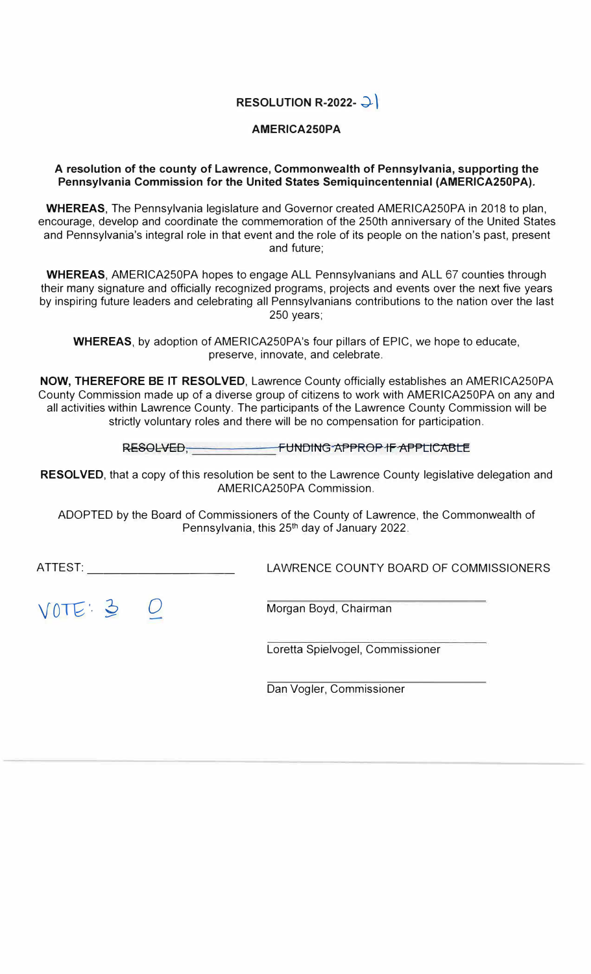## **RESOLUTION R-2022- �)**

### **AMERICA250PA**

### **A resolution of the county of Lawrence, Commonwealth of Pennsylvania, supporting the Pennsylvania Commission for the United States Semiquincentennial (AMERICA250PA).**

**WHEREAS,** The Pennsylvania legislature and Governor created AMERICA250PA in 2018 to plan, encourage, develop and coordinate the commemoration of the 250th anniversary of the United States and Pennsylvania's integral role in that event and the role of its people on the nation's past, present and future;

**WHEREAS,** AMERICA250PA hopes to engage ALL Pennsylvanians and ALL 67 counties through their many signature and officially recognized programs, projects and events over the next five years by inspiring future leaders and celebrating all Pennsylvanians contributions to the nation over the last 250 years;

**WHEREAS,** by adoption of AMERICA250PA's four pillars of EPIC, we hope to educate, preserve, innovate, and celebrate.

**NOW, THEREFORE BE IT RESOLVED,** Lawrence County officially establishes an AMERICA250PA County Commission made up of a diverse group of citizens to work with AMERICA250PA on any and all activities within Lawrence County. The participants of the Lawrence County Commission will be strictly voluntary roles and there will be no compensation for participation.

**RESOLVED, FUNDING APPROP IF APPtlCABLE** 

**RESOLVED,** that a copy of this resolution be sent to the Lawrence County legislative delegation and AMERICA250PA Commission.

ADOPTED by the Board of Commissioners of the County of Lawrence, the Commonwealth of Pennsylvania, this 25<sup>th</sup> day of January 2022.

ATTEST:  $\qquad \qquad \qquad \text{LAWRENCE COUNTY BOARD OF COMMISSIONERS}$ 

 $VOTE: 3$  0 Morgan Boyd, Chairman

Loretta Spielvogel, Commissioner

Dan Vogler, Commissioner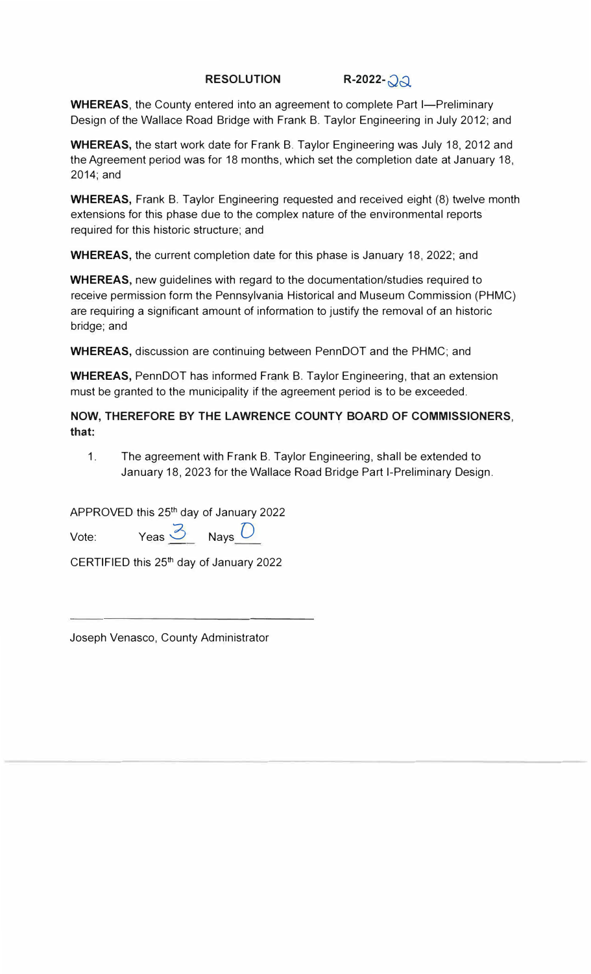## **RESOLUTION R-2022-QQ.**

**WHEREAS, the County entered into an agreement to complete Part I-Preliminary** Design of the Wallace Road Bridge with Frank B. Taylor Engineering in July 2012; and

**WHEREAS,** the start work date for Frank B. Taylor Engineering was July 18, 2012 and the Agreement period was for 18 months, which set the completion date at January 18, 2014;and

**WHEREAS,** Frank B. Taylor Engineering requested and received eight (8) twelve month extensions for this phase due to the complex nature of the environmental reports required for this historic structure; and

**WHEREAS,** the current completion date for this phase is January 18, 2022; and

**WHEREAS,** new guidelines with regard to the documentation/studies required to receive permission form the Pennsylvania Historical and Museum Commission (PHMC) are requiring a significant amount of information to justify the removal of an historic bridge; and

**WHEREAS,** discussion are continuing between PennDOT and the PHMC; and

**WHEREAS,** PennDOT has informed Frank B. Taylor Engineering, that an extension must be granted to the municipality if the agreement period is to be exceeded.

**NOW, THEREFORE BY THE LAWRENCE COUNTY BOARD OF COMMISSIONERS, that:** 

1. The agreement with Frank B. Taylor Engineering, shall be extended to January 18, 2023 for the Wallace Road Bridge Part I-Preliminary Design.

APPROVED this 25th day of January 2022

Vote: Yeas 3 Nays *0* 

CERTIFIED this 25th day of January 2022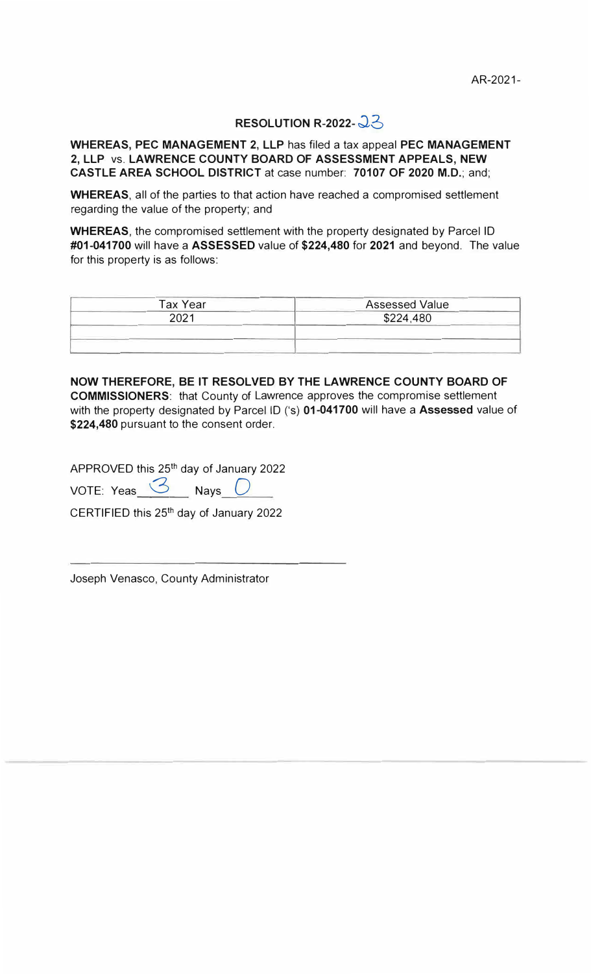## **RESOLUTION R-2022-**  $23$

**WHEREAS, PEC MANAGEMENT 2, LLP** has filed a tax appeal **PEC MANAGEMENT 2, LLP** vs. **LAWRENCE COUNTY BOARD OF ASSESSMENT APPEALS, NEW CASTLE AREA SCHOOL DISTRICT** at case number: **70107 OF 2020 M.D.;** and;

**WHEREAS,** all of the parties to that action have reached a compromised settlement regarding the value of the property; and

**WHEREAS,** the compromised settlement with the property designated by Parcel ID **#01-041700** will have a **ASSESSED** value of **\$224,480 for 2021** and beyond. The value for this property is as follows:

| <b>Tax Year</b> | <b>Assessed Value</b> |
|-----------------|-----------------------|
| 2021            | \$224,480             |
|                 |                       |
|                 |                       |

**NOW THEREFORE, BE IT RESOLVED BY THE LAWRENCE COUNTY BOARD OF COMMISSIONERS:** that County of Lawrence approves the compromise settlement with the property designated by Parcel ID ('s) **01-041700** will have a **Assessed** value of **\$224,480** pursuant to the consent order.

APPROVED this 25th day of January 2022

VOTE: Yeas  $\mathcal{B}$  Nays  $\mathcal{D}$ 

CERTIFIED this 25th day of January 2022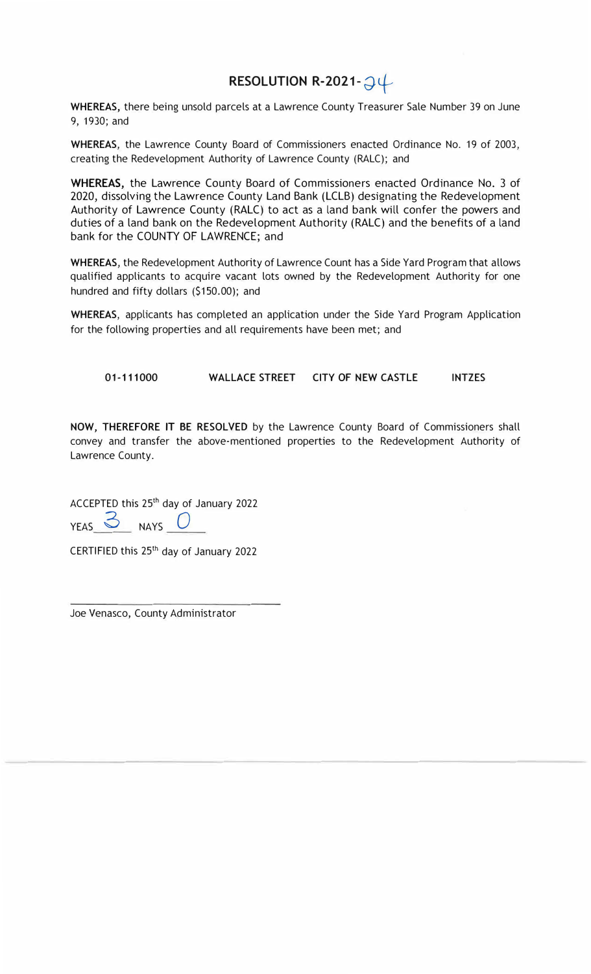# **RESOLUTION R-2021-** *�+*

**WHEREAS,** there being unsold parcels at a Lawrence County Treasurer Sale Number 39 on June 9, 1930; and

**WHEREAS,** the Lawrence County Board of Commissioners enacted Ordinance No. 19 of 2003, creating the Redevelopment Authority of Lawrence County (RALC); and

**WHEREAS,** the Lawrence County Board of Commissioners enacted Ordinance No. 3 of 2020, dissolving the Lawrence County Land Bank (LCLB) designating the Redevelopment Authority of Lawrence County (RALC) to act as a land bank will confer the powers and duties of a land bank on the Redevelopment Authority (RALC) and the benefits of a land bank for the COUNTY OF LAWRENCE; and

**WHEREAS,** the Redevelopment Authority of Lawrence Count has a Side Yard Program that allows qualified applicants to acquire vacant lots owned by the Redevelopment Authority for one hundred and fifty dollars (\$150.00); and

**WHEREAS,** applicants has completed an application under the Side Yard Program Application for the following properties and all requirements have been met; and

**01-111000 WALLACE STREET CITY OF NEW CASTLE INTZES** 

**NOW, THEREFORE** IT **BE RESOLVED** by the Lawrence County Board of Commissioners shall convey and transfer the above-mentioned properties to the Redevelopment Authority of Lawrence County.

ACCEPTED this 25th day of January 2022

 $YEAS \simeq NAYS$ 

CERTIFIED this 25<sup>th</sup> day of January 2022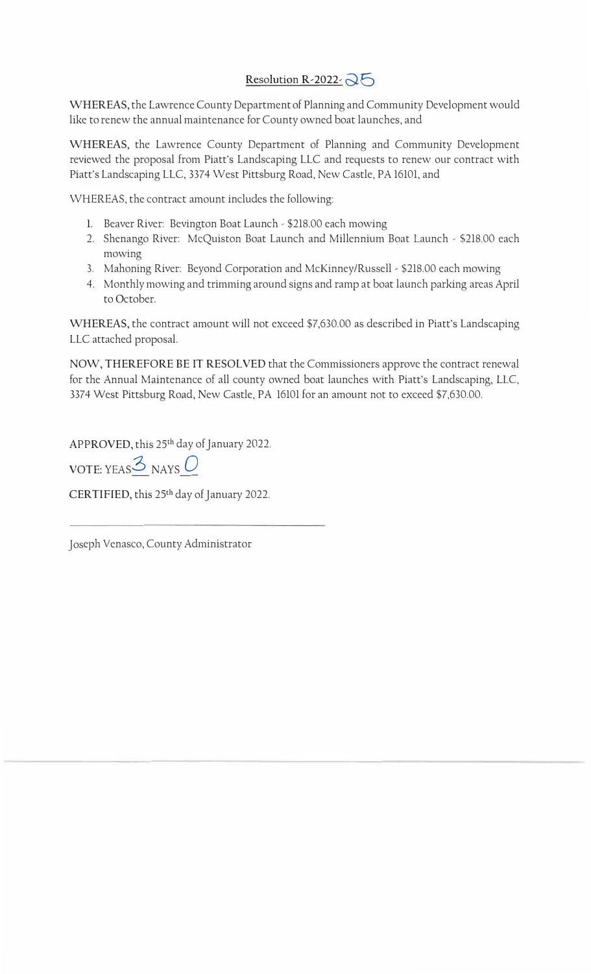## Resolution R-2022,  $\mathcal{Q}$

WHEREAS, the Lawrence County Department of Planning and Community Development would like to renew the annual maintenance for County owned boat launches, and

WHEREAS, the Lawrence County Department of Planning and Community Development reviewed the proposal from Piatt's Landscaping LLC and requests to renew our contract with Piatt's Landscaping LLC, 3374 West Pittsburg Road, New Castle, PA 16101, and

WHEREAS, the contract amount includes the following:

- 1. Beaver River: Bevington Boat Launch \$218.00 each mowing
- 2. Shenango River: McQuiston Boat Launch and Millennium Boat Launch \$218.00 each mowing
- 3. Mahoning River: Beyond Corporation and McKinney/Russell \$218.00 each mowing
- 4. Monthly mowing and trimming around signs and ramp at boat launch parking areas April to October.

WHEREAS, the contract amount will not exceed \$7,630.00 as described in Piatt's Landscaping LLC attached proposal.

NOW, THEREFORE BE IT RESOLVED that the Commissioners approve the contract renewal for the Annual Maintenance of all county owned boat launches with Piatt's Landscaping, LLC, 3374 West Pittsburg Road, New Castle, PA 16101 for an amount not to exceed \$7,630.00.

APPROVED, this 25th day of January 2022.

VOTE: YEAS,3 NAYS *Q*

CERTIFIED, this 25th day of January 2022.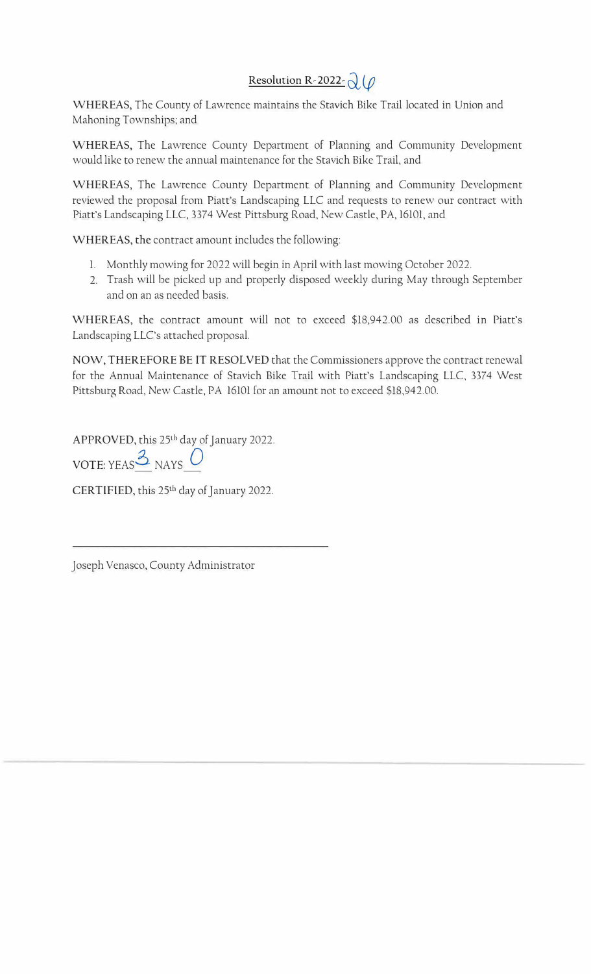# **Resolution R-2022-**  $Q(\rho)$

WHEREAS, The County of Lawrence maintains the Stavich Bike Trail located in Union and Mahoning Townships; and

WHEREAS, The Lawrence County Department of Planning and Community Development would like to renew the annual maintenance for the Stavich Bike Trail, and

WHEREAS, The Lawrence County Department of Planning and Community Development reviewed the proposal from Piatt's Landscaping LLC and requests to renew our contract with Piatt's Landscaping LLC, 3374 West Pittsburg Road, New Castle, PA, 16101, and

WHEREAS, the contract amount includes the following:

- 1. Monthly mowing for 2022 will begin in April with last mowing October 2022.
- 2. Trash will be picked up and properly disposed weekly during May through September and on an as needed basis.

WHEREAS, the contract amount will not to exceed \$18,942.00 as described in Piatt's Landscaping LLC's attached proposal.

NOW, THEREFORE BE IT RESOLVED that the Commissioners approve the contract renewal for the Annual Maintenance of Stavich Bike Trail with Piatt's Landscaping LLC, 3374 West Pittsburg Road, New Castle, PA 16101 for an amount not to exceed \$18,942.00.

APPROVED, this 25<sup>th</sup> day of January 2022.

VOTE: YEAS<sup> $3$ </sup> NAYS  $0$ 

CERTIFIED, this 25<sup>th</sup> day of January 2022.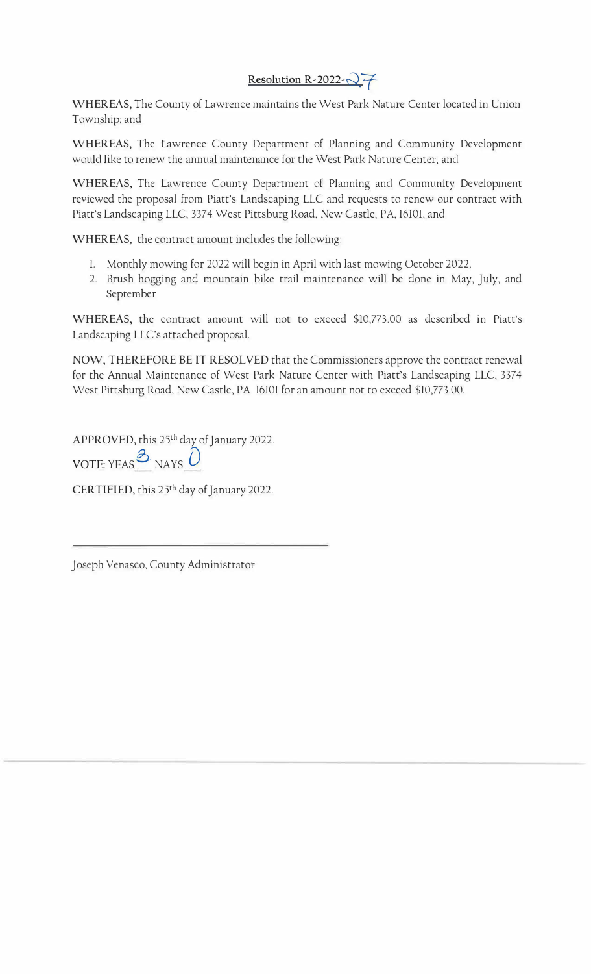## Resolution R-2022-Q7

WHEREAS, The County of Lawrence maintains the West Park Nature Center located in Union Township; and

WHEREAS, The Lawrence County Department of Planning and Community Development would like to renew the annual maintenance for the West Park Nature Center, and

WHEREAS, The Lawrence County Department of Planning and Community Development reviewed the proposal from Piatt's Landscaping LLC and requests to renew our contract with Piatt's Landscaping LLC, 3374 West Pittsburg Road, New Castle, PA, 16101, and

WHEREAS, the contract amount includes the following:

- 1. Monthly mowing for 2022 will begin in April with last mowing October 2022.
- 2. Brush hogging and mountain bike trail maintenance will be done in May, July, and September

WHEREAS, the contract amount will not to exceed \$10,773.00 as described in Piatt's Landscaping LLC's attached proposal.

NOW, THEREFORE BE lT RESOLVED that the Commissioners approve the contract renewal for the Annual Maintenance of West Park Nature Center with Piatt's Landscaping LLC, 3374 West Pittsburg Road, New Castle, PA 16101 for an amount not to exceed \$10,773.00.

APPROVED, this 25<sup>th</sup> day of January 2022.

VOTE: YEAS *D* NAYS D

CERTIFIED, this 25<sup>th</sup> day of January 2022.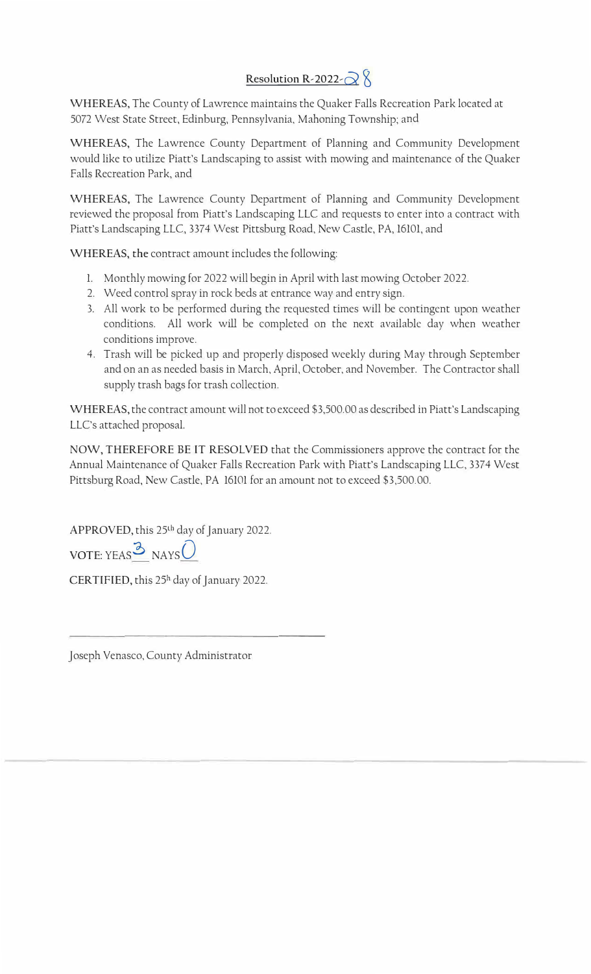## **Resolution R-2022** $\alpha$

WHEREAS, The County of Lawrence maintains the Quaker Falls Recreation Park located at 5072 West State Street, Edinburg, Pennsylvania, Mahoning Township; and

WHEREAS, The Lawrence County Department of Planning and Community Development would like to utilize Piatt's Landscaping to assist with mowing and maintenance of the Quaker Falls Recreation Park, and

WHEREAS, The Lawrence County Department of Planning and Community Development reviewed the proposal from Piatt's Landscaping LLC and requests to enter into a contract with Piatt's Landscaping LLC, 3374 West Pittsburg Road, New Castle, PA, 16101, and

WHEREAS, the contract amount includes the following:

- 1. Monthly mowing for 2022 will begin in April with last mowing October 2022.
- 2. Weed control spray in rock beds at entrance way and entry sign.
- 3. All work to be performed during the requested times will be contingent upon weather conditions. All work will be completed on the next available day when weather conditions improve.
- 4. Trash will be picked up and properly disposed weekly during May through September and on an as needed basis in March, April, October, and November. The Contractor shall supply trash bags for trash collection.

WHEREAS, the contract amount will not to exceed \$3,500.00 as described in Piatt's Landscaping LLC's attached proposal.

NOW, THEREFORE BE IT RESOLVED that the Commissioners approve the contract for the Annual Maintenance of Quaker Falls Recreation Park with Piatt's Landscaping LLC, 3374 West Pittsburg Road, New Castle, PA 16101 for an amount not to exceed \$3,500.00.

APPROVED, this 25th day of January 2022.

 $VOTE: YEAR^3$  NAYS

CERTIFIED, this 25<sup>h</sup> day of January 2022.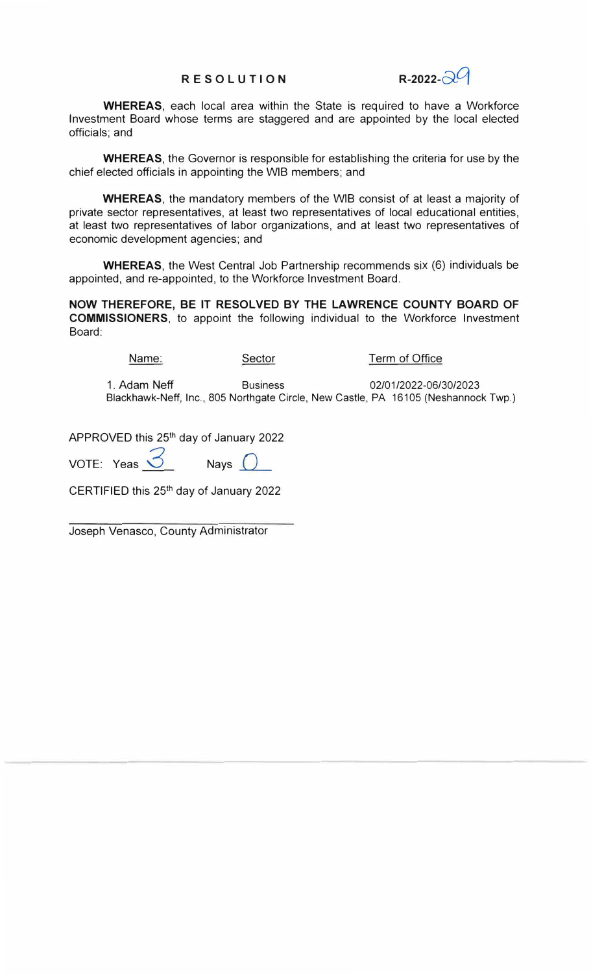## **RE SOLUTION** R-2022- $\widehat{R}^{\mathcal{C}}$

**WHEREAS,** each local area within the State is required to have a Workforce Investment Board whose terms are staggered and are appointed by the local elected officials; and

**WHEREAS,** the Governor is responsible for establishing the criteria for use by the chief elected officials in appointing the WIB members; and

**WHEREAS,** the mandatory members of the WIB consist of at least a majority of private sector representatives, at least two representatives of local educational entities, at least two representatives of labor organizations, and at least two representatives of economic development agencies; and

**WHEREAS,** the West Central Job Partnership recommends six (6) individuals be appointed, and re-appointed, to the Workforce Investment Board.

**NOW THEREFORE, BE IT RESOLVED BY THE LAWRENCE COUNTY BOARD OF COMMISSIONERS,** to appoint the following individual to the Workforce Investment Board:

Name: Sector Term of Office 1. Adam Neff Business 02/01/2022-06/30/2023 Blackhawk-Neff, Inc., 805 Northgate Circle, New Castle, PA 16105 (Neshannock Twp.)

APPROVED this 25<sup>th</sup> day of January 2022

VOTE: Yeas  $\overrightarrow{S}$  Nays  $\overrightarrow{O}$ 

CERTIFIED this 25th day of January 2022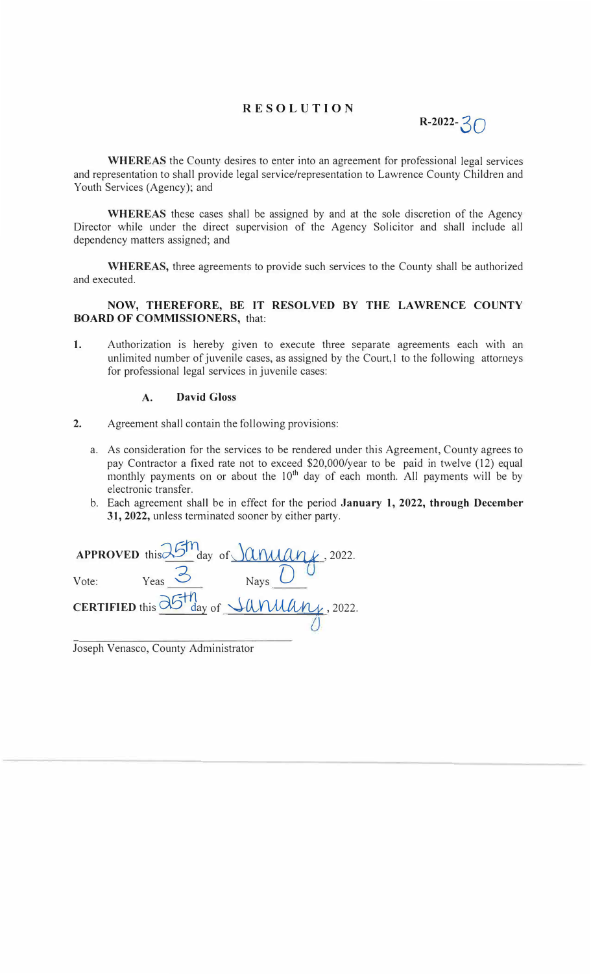## **RESOLUTION**



**WHEREAS** the County desires to enter into an agreement for professional legal services and representation to shall provide legal service/representation to Lawrence County Children and Youth Services (Agency); and

**WHEREAS** these cases shall be assigned by and at the sole discretion of the Agency Director while under the direct supervision of the Agency Solicitor and shall include all dependency matters assigned; and

**WHEREAS,** three agreements to provide such services to the County shall be authorized and executed.

**NOW, THEREFORE, BE IT RESOLVED BY THE LAWRENCE COUNTY BOARD OF COMMISSIONERS,** that:

1. Authorization is hereby given to execute three separate agreements each with an unlimited number of juvenile cases, as assigned by the Court,l to the following attorneys for professional legal services in juvenile cases:

### **A. David Gloss**

- **2.** Agreement shall contain the following provisions:
	- a. As consideration for the services to be rendered under this Agreement, County agrees to pay Contractor a fixed rate not to exceed \$20,000/year to be paid in twelve (12) equal monthly payments on or about the  $10<sup>th</sup>$  day of each month. All payments will be by electronic transfer.
	- b. Each agreement shall be in effect for the period **January 1, 2022, through December** 31, **2022,** unless terminated sooner by either party.

|       |       | APPROVED this $25m$ day of $\lambda$ ( <i>ANAAA</i> , 2022.                               |  |
|-------|-------|-------------------------------------------------------------------------------------------|--|
| Vote: | Yeas_ | Nays $\bigcup$                                                                            |  |
|       |       | CERTIFIED this $\frac{\partial G}{\partial y}$ of $\frac{\partial U}{\partial x}$ , 2022. |  |
|       |       |                                                                                           |  |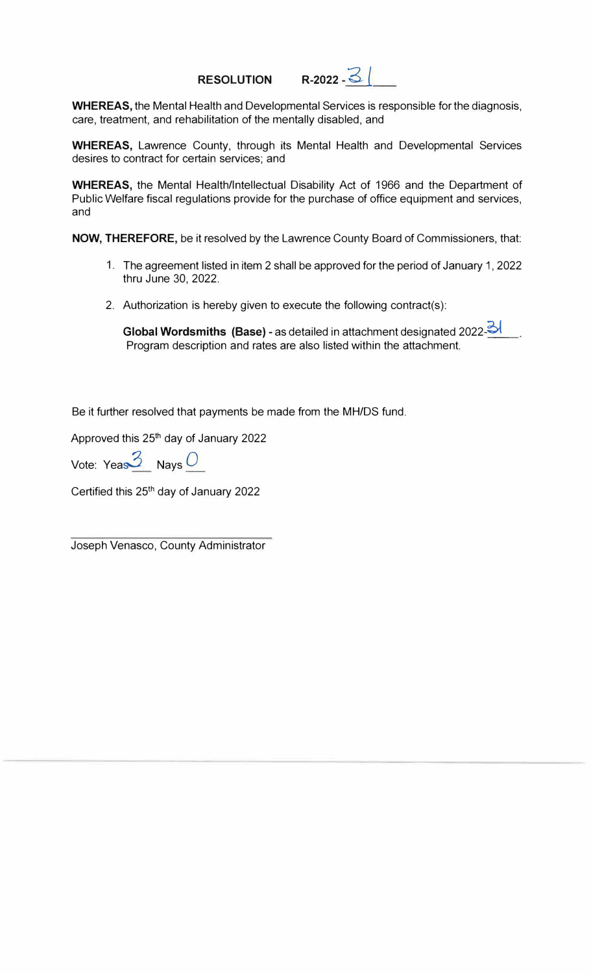# **RESOLUTION R-2022 - 3**

**WHEREAS,** the Mental Health and Developmental Services is responsible for the diagnosis, care, treatment, and rehabilitation of the mentally disabled, and

**WHEREAS,** Lawrence County, through its Mental Health and Developmental Services desires to contract for certain services; and

**WHEREAS,** the Mental Health/Intellectual Disability Act of 1966 and the Department of Public Welfare fiscal regulations provide for the purchase of office equipment and services, and

**NOW, THEREFORE,** be it resolved by the Lawrence County Board of Commissioners, that:

- 1. The agreement listed in item 2 shall be approved for the period of January 1, 2022 thru June 30, 2022.
- 2. Authorization is hereby given to execute the following contract(s):

**Global Wordsmiths (Base)** - as detailed in attachment designated 2022-3 Program description and rates are also listed within the attachment.

Be it further resolved that payments be made from the MH/DS fund.

Approved this 25<sup>th</sup> day of January 2022

Vote: Yeas<sup>3</sup> Nays<sup>0</sup>

Certified this 25th day of January 2022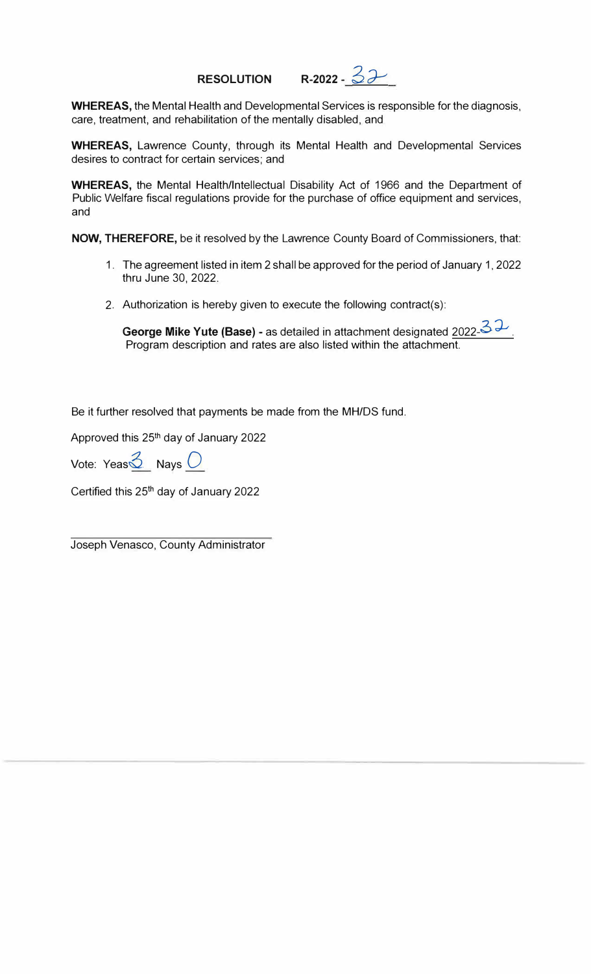# **RESOLUTION** R-2022 -  $32$

**WHEREAS,** the Mental Health and Developmental Services is responsible for the diagnosis, care, treatment, and rehabilitation of the mentally disabled, and

**WHEREAS,** Lawrence County, through its Mental Health and Developmental Services desires to contract for certain services; and

**WHEREAS,** the Mental Health/Intellectual Disability Act of 1966 and the Department of Public Welfare fiscal regulations provide for the purchase of office equipment and services, and

**NOW, THEREFORE,** be it resolved by the Lawrence County Board of Commissioners, that:

- 1. The agreement listed in item 2 shall be approved for the period of January 1, 2022 thru June 30, 2022.
- 2. Authorization is hereby given to execute the following contract(s):

George Mike Yute (Base) - as detailed in attachment designated 2022-32 Program description and rates are also listed within the attachment.

Be it further resolved that payments be made from the MH/DS fund.

Approved this 25th day of January 2022

Vote: Yeas $\frac{3}{2}$  Nays  $\frac{1}{2}$ 

Certified this 25<sup>th</sup> day of January 2022